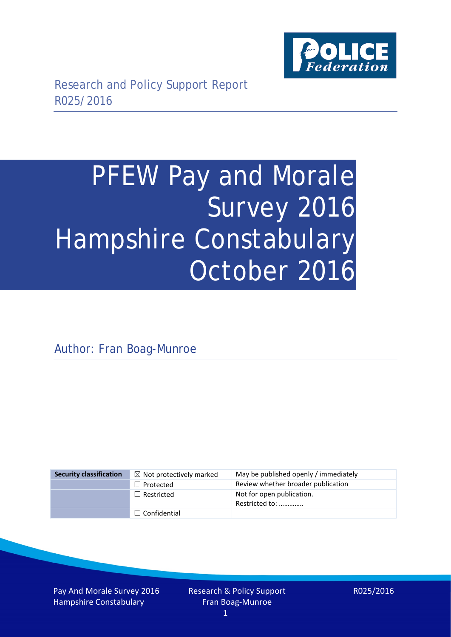

# PFEW Pay and Morale Survey 2016 Hampshire Constabulary October 2016

Author: Fran Boag-Munroe

| <b>Security classification</b> | $\boxtimes$ Not protectively marked | May be published openly / immediately       |
|--------------------------------|-------------------------------------|---------------------------------------------|
|                                | $\Box$ Protected                    | Review whether broader publication          |
|                                | $\Box$ Restricted                   | Not for open publication.<br>Restricted to: |
|                                | $\Box$ Confidential                 |                                             |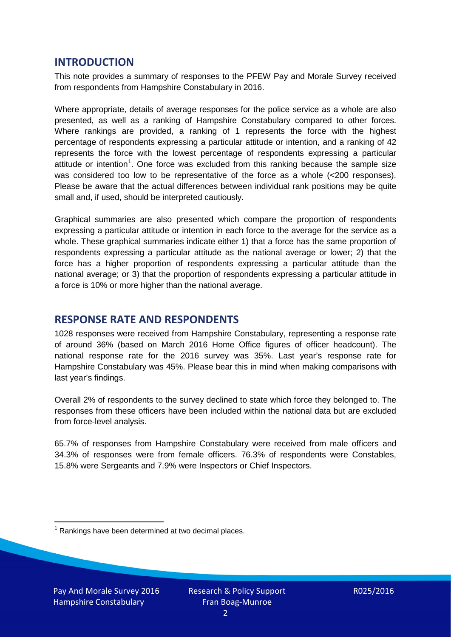## **INTRODUCTION**

This note provides a summary of responses to the PFEW Pay and Morale Survey received from respondents from Hampshire Constabulary in 2016.

Where appropriate, details of average responses for the police service as a whole are also presented, as well as a ranking of Hampshire Constabulary compared to other forces. Where rankings are provided, a ranking of 1 represents the force with the highest percentage of respondents expressing a particular attitude or intention, and a ranking of 42 represents the force with the lowest percentage of respondents expressing a particular attitude or intention<sup>[1](#page-1-0)</sup>. One force was excluded from this ranking because the sample size was considered too low to be representative of the force as a whole (<200 responses). Please be aware that the actual differences between individual rank positions may be quite small and, if used, should be interpreted cautiously.

Graphical summaries are also presented which compare the proportion of respondents expressing a particular attitude or intention in each force to the average for the service as a whole. These graphical summaries indicate either 1) that a force has the same proportion of respondents expressing a particular attitude as the national average or lower; 2) that the force has a higher proportion of respondents expressing a particular attitude than the national average; or 3) that the proportion of respondents expressing a particular attitude in a force is 10% or more higher than the national average.

## **RESPONSE RATE AND RESPONDENTS**

1028 responses were received from Hampshire Constabulary, representing a response rate of around 36% (based on March 2016 Home Office figures of officer headcount). The national response rate for the 2016 survey was 35%. Last year's response rate for Hampshire Constabulary was 45%. Please bear this in mind when making comparisons with last year's findings.

Overall 2% of respondents to the survey declined to state which force they belonged to. The responses from these officers have been included within the national data but are excluded from force-level analysis.

65.7% of responses from Hampshire Constabulary were received from male officers and 34.3% of responses were from female officers. 76.3% of respondents were Constables, 15.8% were Sergeants and 7.9% were Inspectors or Chief Inspectors.

<span id="page-1-0"></span> $1$  Rankings have been determined at two decimal places.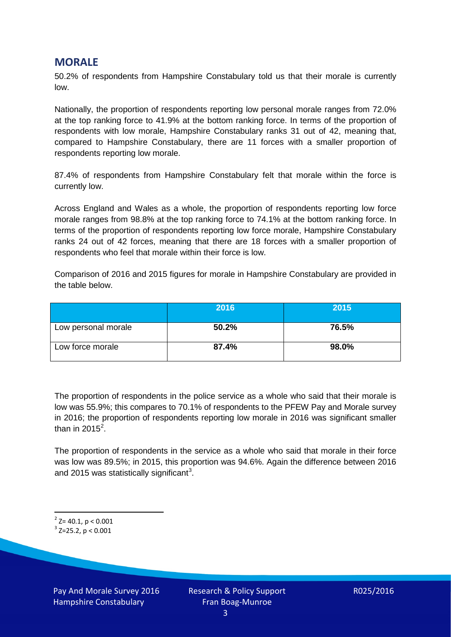## **MORALE**

50.2% of respondents from Hampshire Constabulary told us that their morale is currently low.

Nationally, the proportion of respondents reporting low personal morale ranges from 72.0% at the top ranking force to 41.9% at the bottom ranking force. In terms of the proportion of respondents with low morale, Hampshire Constabulary ranks 31 out of 42, meaning that, compared to Hampshire Constabulary, there are 11 forces with a smaller proportion of respondents reporting low morale.

87.4% of respondents from Hampshire Constabulary felt that morale within the force is currently low.

Across England and Wales as a whole, the proportion of respondents reporting low force morale ranges from 98.8% at the top ranking force to 74.1% at the bottom ranking force. In terms of the proportion of respondents reporting low force morale, Hampshire Constabulary ranks 24 out of 42 forces, meaning that there are 18 forces with a smaller proportion of respondents who feel that morale within their force is low.

Comparison of 2016 and 2015 figures for morale in Hampshire Constabulary are provided in the table below.

|                     | 2016  | 2015  |
|---------------------|-------|-------|
| Low personal morale | 50.2% | 76.5% |
| Low force morale    | 87.4% | 98.0% |

The proportion of respondents in the police service as a whole who said that their morale is low was 55.9%; this compares to 70.1% of respondents to the PFEW Pay and Morale survey in 2016; the proportion of respondents reporting low morale in 2016 was significant smaller than in [2](#page-2-0)015<sup>2</sup>.

The proportion of respondents in the service as a whole who said that morale in their force was low was 89.5%; in 2015, this proportion was 94.6%. Again the difference between 2016 and 2015 was statistically significant<sup>[3](#page-2-1)</sup>.

<span id="page-2-0"></span> $2$ <sup>2</sup> Z= 40.1, p < 0.001

<span id="page-2-1"></span> $3$  Z=25.2, p < 0.001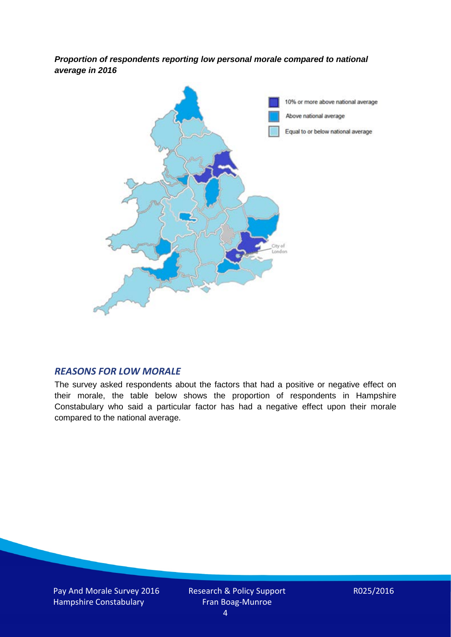*Proportion of respondents reporting low personal morale compared to national average in 2016*



#### *REASONS FOR LOW MORALE*

The survey asked respondents about the factors that had a positive or negative effect on their morale, the table below shows the proportion of respondents in Hampshire Constabulary who said a particular factor has had a negative effect upon their morale compared to the national average.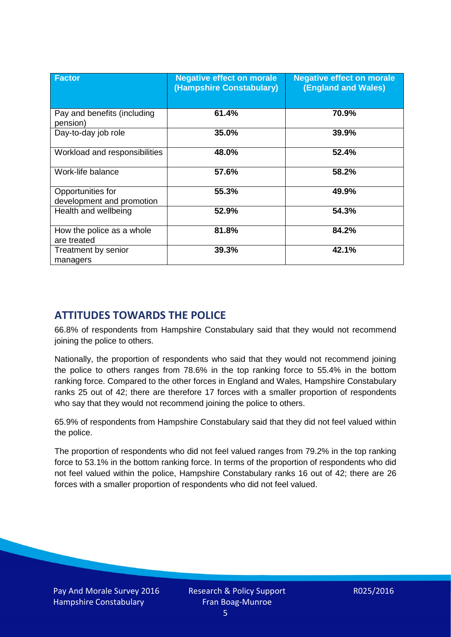| <b>Factor</b>                                  | <b>Negative effect on morale</b><br>(Hampshire Constabulary) | <b>Negative effect on morale</b><br><b>(England and Wales)</b> |
|------------------------------------------------|--------------------------------------------------------------|----------------------------------------------------------------|
| Pay and benefits (including<br>pension)        | 61.4%                                                        | 70.9%                                                          |
| Day-to-day job role                            | 35.0%                                                        | 39.9%                                                          |
| Workload and responsibilities                  | 48.0%                                                        | 52.4%                                                          |
| Work-life balance                              | 57.6%                                                        | 58.2%                                                          |
| Opportunities for<br>development and promotion | 55.3%                                                        | 49.9%                                                          |
| Health and wellbeing                           | 52.9%                                                        | 54.3%                                                          |
| How the police as a whole<br>are treated       | 81.8%                                                        | 84.2%                                                          |
| Treatment by senior<br>managers                | 39.3%                                                        | 42.1%                                                          |

# **ATTITUDES TOWARDS THE POLICE**

66.8% of respondents from Hampshire Constabulary said that they would not recommend joining the police to others.

Nationally, the proportion of respondents who said that they would not recommend joining the police to others ranges from 78.6% in the top ranking force to 55.4% in the bottom ranking force. Compared to the other forces in England and Wales, Hampshire Constabulary ranks 25 out of 42; there are therefore 17 forces with a smaller proportion of respondents who say that they would not recommend joining the police to others.

65.9% of respondents from Hampshire Constabulary said that they did not feel valued within the police.

The proportion of respondents who did not feel valued ranges from 79.2% in the top ranking force to 53.1% in the bottom ranking force. In terms of the proportion of respondents who did not feel valued within the police, Hampshire Constabulary ranks 16 out of 42; there are 26 forces with a smaller proportion of respondents who did not feel valued.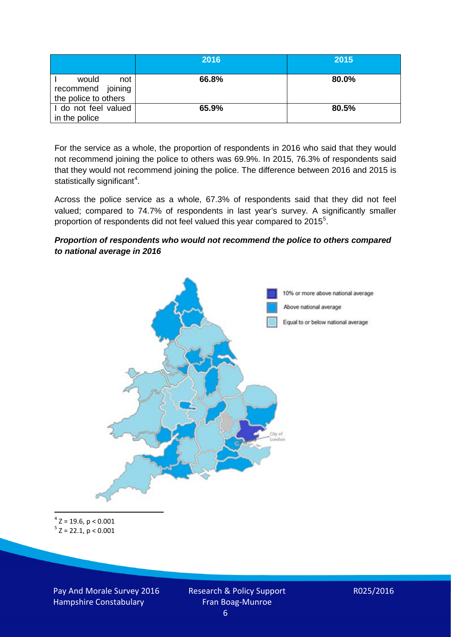|                                                           | 2016  | 2015  |
|-----------------------------------------------------------|-------|-------|
| would<br>not<br>recommend joining<br>the police to others | 66.8% | 80.0% |
| I do not feel valued<br>in the police                     | 65.9% | 80.5% |

For the service as a whole, the proportion of respondents in 2016 who said that they would not recommend joining the police to others was 69.9%. In 2015, 76.3% of respondents said that they would not recommend joining the police. The difference between 2016 and 2015 is statistically significant<sup>[4](#page-5-0)</sup>.

Across the police service as a whole, 67.3% of respondents said that they did not feel valued; compared to 74.7% of respondents in last year's survey. A significantly smaller proportion of respondents did not feel valued this year compared to 201[5](#page-5-1)<sup>5</sup>.

#### *Proportion of respondents who would not recommend the police to others compared to national average in 2016*



<span id="page-5-1"></span><span id="page-5-0"></span> $4$  Z = 19.6, p < 0.001  $5 z = 22.1, p < 0.001$ 

Pay And Morale Survey 2016 Hampshire Constabulary

Research & Policy Support Fran Boag-Munroe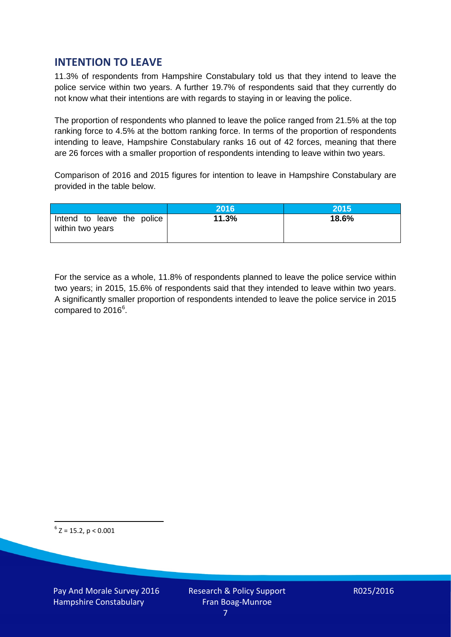## **INTENTION TO LEAVE**

11.3% of respondents from Hampshire Constabulary told us that they intend to leave the police service within two years. A further 19.7% of respondents said that they currently do not know what their intentions are with regards to staying in or leaving the police.

The proportion of respondents who planned to leave the police ranged from 21.5% at the top ranking force to 4.5% at the bottom ranking force. In terms of the proportion of respondents intending to leave, Hampshire Constabulary ranks 16 out of 42 forces, meaning that there are 26 forces with a smaller proportion of respondents intending to leave within two years.

Comparison of 2016 and 2015 figures for intention to leave in Hampshire Constabulary are provided in the table below.

|                                                | 2016  | 2015  |
|------------------------------------------------|-------|-------|
| Intend to leave the police<br>within two years | 11.3% | 18.6% |

For the service as a whole, 11.8% of respondents planned to leave the police service within two years; in 2015, 15.6% of respondents said that they intended to leave within two years. A significantly smaller proportion of respondents intended to leave the police service in 2015 compared to 201[6](#page-6-0)<sup>6</sup>.

<span id="page-6-0"></span> $6$  Z = 15.2, p < 0.001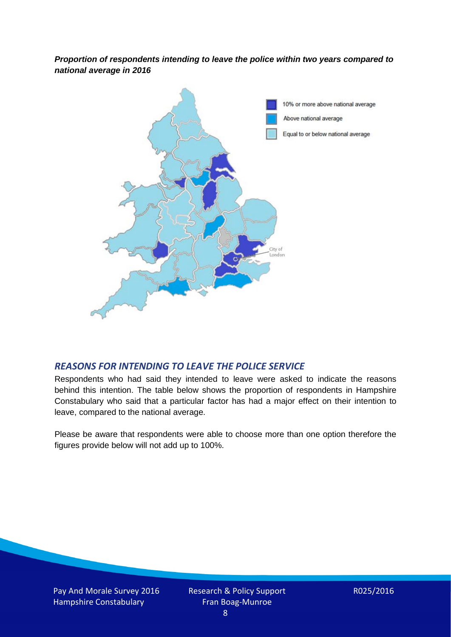*Proportion of respondents intending to leave the police within two years compared to national average in 2016*



### *REASONS FOR INTENDING TO LEAVE THE POLICE SERVICE*

Respondents who had said they intended to leave were asked to indicate the reasons behind this intention. The table below shows the proportion of respondents in Hampshire Constabulary who said that a particular factor has had a major effect on their intention to leave, compared to the national average.

Please be aware that respondents were able to choose more than one option therefore the figures provide below will not add up to 100%.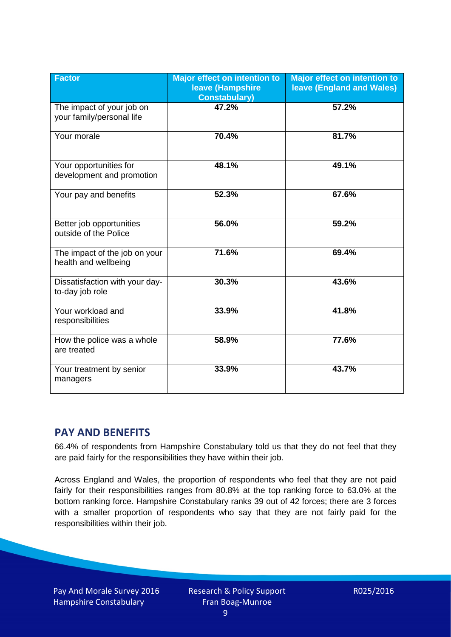| <b>Factor</b>                                          | <b>Major effect on intention to</b><br>leave (Hampshire<br><b>Constabulary)</b> | <b>Major effect on intention to</b><br><b>leave (England and Wales)</b> |
|--------------------------------------------------------|---------------------------------------------------------------------------------|-------------------------------------------------------------------------|
| The impact of your job on<br>your family/personal life | 47.2%                                                                           | 57.2%                                                                   |
| Your morale                                            | 70.4%                                                                           | 81.7%                                                                   |
| Your opportunities for<br>development and promotion    | 48.1%                                                                           | 49.1%                                                                   |
| Your pay and benefits                                  | 52.3%                                                                           | 67.6%                                                                   |
| Better job opportunities<br>outside of the Police      | 56.0%                                                                           | 59.2%                                                                   |
| The impact of the job on your<br>health and wellbeing  | 71.6%                                                                           | 69.4%                                                                   |
| Dissatisfaction with your day-<br>to-day job role      | 30.3%                                                                           | 43.6%                                                                   |
| Your workload and<br>responsibilities                  | 33.9%                                                                           | 41.8%                                                                   |
| How the police was a whole<br>are treated              | 58.9%                                                                           | 77.6%                                                                   |
| Your treatment by senior<br>managers                   | 33.9%                                                                           | 43.7%                                                                   |

# **PAY AND BENEFITS**

66.4% of respondents from Hampshire Constabulary told us that they do not feel that they are paid fairly for the responsibilities they have within their job.

Across England and Wales, the proportion of respondents who feel that they are not paid fairly for their responsibilities ranges from 80.8% at the top ranking force to 63.0% at the bottom ranking force. Hampshire Constabulary ranks 39 out of 42 forces; there are 3 forces with a smaller proportion of respondents who say that they are not fairly paid for the responsibilities within their job.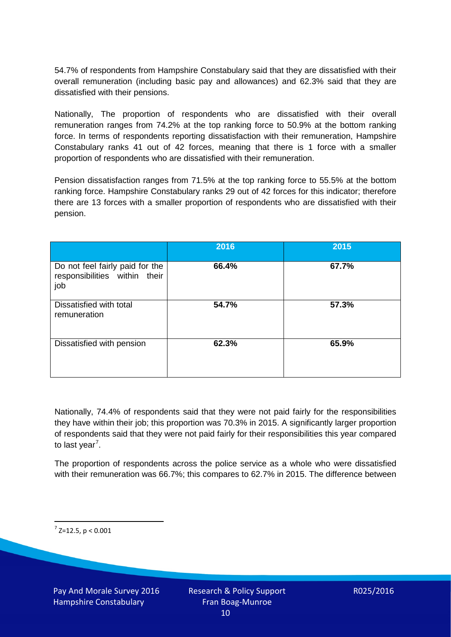54.7% of respondents from Hampshire Constabulary said that they are dissatisfied with their overall remuneration (including basic pay and allowances) and 62.3% said that they are dissatisfied with their pensions.

Nationally, The proportion of respondents who are dissatisfied with their overall remuneration ranges from 74.2% at the top ranking force to 50.9% at the bottom ranking force. In terms of respondents reporting dissatisfaction with their remuneration, Hampshire Constabulary ranks 41 out of 42 forces, meaning that there is 1 force with a smaller proportion of respondents who are dissatisfied with their remuneration.

Pension dissatisfaction ranges from 71.5% at the top ranking force to 55.5% at the bottom ranking force. Hampshire Constabulary ranks 29 out of 42 forces for this indicator; therefore there are 13 forces with a smaller proportion of respondents who are dissatisfied with their pension.

|                                                                         | 2016  | 2015  |
|-------------------------------------------------------------------------|-------|-------|
| Do not feel fairly paid for the<br>responsibilities within their<br>job | 66.4% | 67.7% |
| Dissatisfied with total<br>remuneration                                 | 54.7% | 57.3% |
| Dissatisfied with pension                                               | 62.3% | 65.9% |

Nationally, 74.4% of respondents said that they were not paid fairly for the responsibilities they have within their job; this proportion was 70.3% in 2015. A significantly larger proportion of respondents said that they were not paid fairly for their responsibilities this year compared to last year<sup>[7](#page-9-0)</sup>.

The proportion of respondents across the police service as a whole who were dissatisfied with their remuneration was 66.7%; this compares to 62.7% in 2015. The difference between

<span id="page-9-0"></span> $7$  Z=12.5, p < 0.001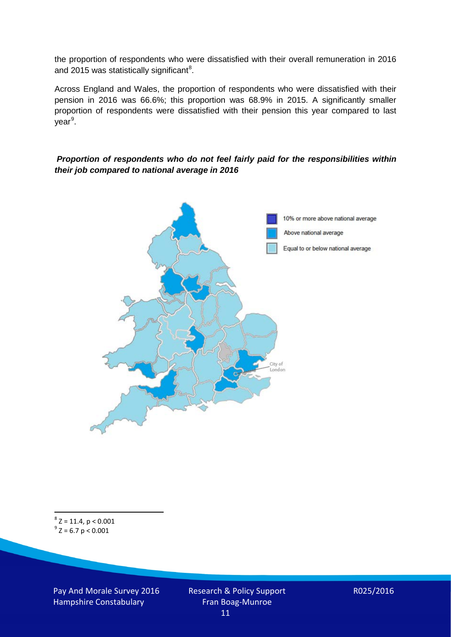the proportion of respondents who were dissatisfied with their overall remuneration in 2016 and 2015 was statistically significant<sup>[8](#page-10-0)</sup>.

Across England and Wales, the proportion of respondents who were dissatisfied with their pension in 2016 was 66.6%; this proportion was 68.9% in 2015. A significantly smaller proportion of respondents were dissatisfied with their pension this year compared to last year<sup>[9](#page-10-1)</sup>.

#### *Proportion of respondents who do not feel fairly paid for the responsibilities within their job compared to national average in 2016*



<span id="page-10-1"></span><span id="page-10-0"></span> $8$  Z = 11.4, p < 0.001  $9^{\circ}$  Z = 6.7 p < 0.001

Pay And Morale Survey 2016 Hampshire Constabulary

Research & Policy Support Fran Boag-Munroe 11